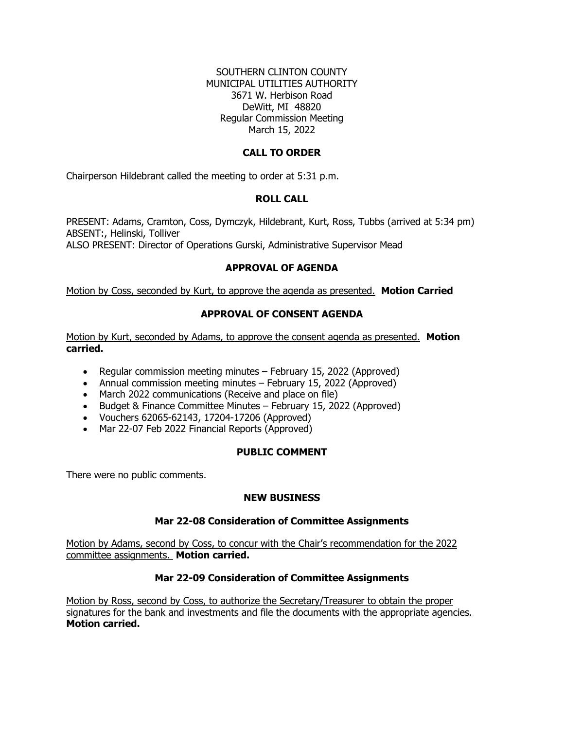### SOUTHERN CLINTON COUNTY MUNICIPAL UTILITIES AUTHORITY 3671 W. Herbison Road DeWitt, MI 48820 Regular Commission Meeting March 15, 2022

### **CALL TO ORDER**

Chairperson Hildebrant called the meeting to order at 5:31 p.m.

### **ROLL CALL**

PRESENT: Adams, Cramton, Coss, Dymczyk, Hildebrant, Kurt, Ross, Tubbs (arrived at 5:34 pm) ABSENT:, Helinski, Tolliver ALSO PRESENT: Director of Operations Gurski, Administrative Supervisor Mead

# **APPROVAL OF AGENDA**

Motion by Coss, seconded by Kurt, to approve the agenda as presented. **Motion Carried**

# **APPROVAL OF CONSENT AGENDA**

Motion by Kurt, seconded by Adams, to approve the consent agenda as presented. **Motion carried.** 

- Regular commission meeting minutes February 15, 2022 (Approved)
- Annual commission meeting minutes February 15, 2022 (Approved)
- March 2022 communications (Receive and place on file)
- Budget & Finance Committee Minutes February 15, 2022 (Approved)
- Vouchers 62065-62143, 17204-17206 (Approved)
- Mar 22-07 Feb 2022 Financial Reports (Approved)

# **PUBLIC COMMENT**

There were no public comments.

#### **NEW BUSINESS**

# **Mar 22-08 Consideration of Committee Assignments**

Motion by Adams, second by Coss, to concur with the Chair's recommendation for the 2022 committee assignments. **Motion carried.**

#### **Mar 22-09 Consideration of Committee Assignments**

Motion by Ross, second by Coss, to authorize the Secretary/Treasurer to obtain the proper signatures for the bank and investments and file the documents with the appropriate agencies. **Motion carried.**